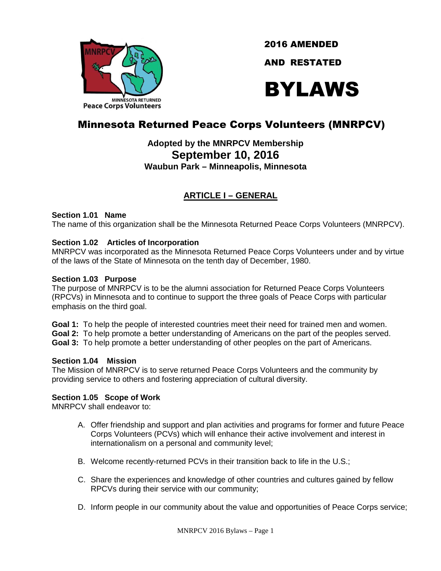

2016 AMENDED

AND RESTATED

# BYLAWS

# Minnesota Returned Peace Corps Volunteers (MNRPCV)

# **Adopted by the MNRPCV Membership September 10, 2016 Waubun Park – Minneapolis, Minnesota**

# **ARTICLE I – GENERAL**

## **Section 1.01 Name**

The name of this organization shall be the Minnesota Returned Peace Corps Volunteers (MNRPCV).

# **Section 1.02 Articles of Incorporation**

MNRPCV was incorporated as the Minnesota Returned Peace Corps Volunteers under and by virtue of the laws of the State of Minnesota on the tenth day of December, 1980.

# **Section 1.03 Purpose**

The purpose of MNRPCV is to be the alumni association for Returned Peace Corps Volunteers (RPCVs) in Minnesota and to continue to support the three goals of Peace Corps with particular emphasis on the third goal.

**Goal 1:** To help the people of interested countries meet their need for trained men and women. **Goal 2:** To help promote a better understanding of Americans on the part of the peoples served. **Goal 3:** To help promote a better understanding of other peoples on the part of Americans.

# **Section 1.04 Mission**

The Mission of MNRPCV is to serve returned Peace Corps Volunteers and the community by providing service to others and fostering appreciation of cultural diversity.

# **Section 1.05 Scope of Work**

MNRPCV shall endeavor to:

- A. Offer friendship and support and plan activities and programs for former and future Peace Corps Volunteers (PCVs) which will enhance their active involvement and interest in internationalism on a personal and community level;
- B. Welcome recently-returned PCVs in their transition back to life in the U.S.;
- C. Share the experiences and knowledge of other countries and cultures gained by fellow RPCVs during their service with our community;
- D. Inform people in our community about the value and opportunities of Peace Corps service;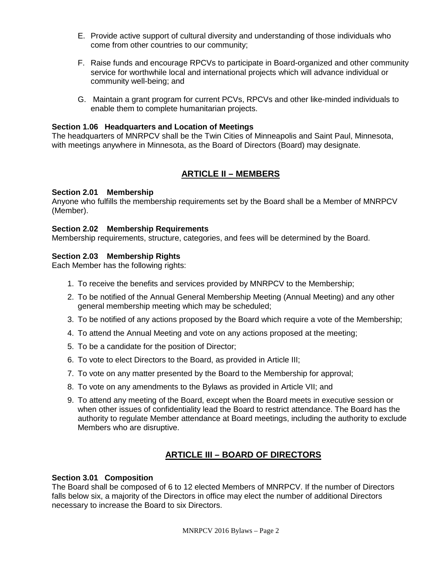- E. Provide active support of cultural diversity and understanding of those individuals who come from other countries to our community;
- F. Raise funds and encourage RPCVs to participate in Board-organized and other community service for worthwhile local and international projects which will advance individual or community well-being; and
- G. Maintain a grant program for current PCVs, RPCVs and other like-minded individuals to enable them to complete humanitarian projects.

#### **Section 1.06 Headquarters and Location of Meetings**

The headquarters of MNRPCV shall be the Twin Cities of Minneapolis and Saint Paul, Minnesota, with meetings anywhere in Minnesota, as the Board of Directors (Board) may designate.

# **ARTICLE II – MEMBERS**

#### **Section 2.01 Membership**

Anyone who fulfills the membership requirements set by the Board shall be a Member of MNRPCV (Member).

#### **Section 2.02 Membership Requirements**

Membership requirements, structure, categories, and fees will be determined by the Board.

#### **Section 2.03 Membership Rights**

Each Member has the following rights:

- 1. To receive the benefits and services provided by MNRPCV to the Membership;
- 2. To be notified of the Annual General Membership Meeting (Annual Meeting) and any other general membership meeting which may be scheduled;
- 3. To be notified of any actions proposed by the Board which require a vote of the Membership;
- 4. To attend the Annual Meeting and vote on any actions proposed at the meeting;
- 5. To be a candidate for the position of Director;
- 6. To vote to elect Directors to the Board, as provided in Article III;
- 7. To vote on any matter presented by the Board to the Membership for approval;
- 8. To vote on any amendments to the Bylaws as provided in Article VII; and
- 9. To attend any meeting of the Board, except when the Board meets in executive session or when other issues of confidentiality lead the Board to restrict attendance. The Board has the authority to regulate Member attendance at Board meetings, including the authority to exclude Members who are disruptive.

# **ARTICLE III – BOARD OF DIRECTORS**

#### **Section 3.01 Composition**

The Board shall be composed of 6 to 12 elected Members of MNRPCV. If the number of Directors falls below six, a majority of the Directors in office may elect the number of additional Directors necessary to increase the Board to six Directors.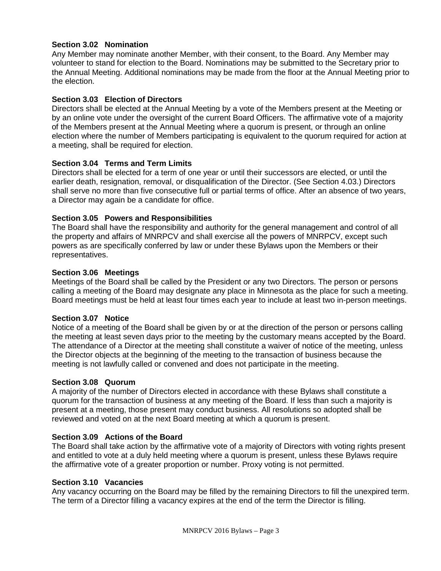## **Section 3.02 Nomination**

Any Member may nominate another Member, with their consent, to the Board. Any Member may volunteer to stand for election to the Board. Nominations may be submitted to the Secretary prior to the Annual Meeting. Additional nominations may be made from the floor at the Annual Meeting prior to the election.

#### **Section 3.03 Election of Directors**

Directors shall be elected at the Annual Meeting by a vote of the Members present at the Meeting or by an online vote under the oversight of the current Board Officers. The affirmative vote of a majority of the Members present at the Annual Meeting where a quorum is present, or through an online election where the number of Members participating is equivalent to the quorum required for action at a meeting, shall be required for election.

#### **Section 3.04 Terms and Term Limits**

Directors shall be elected for a term of one year or until their successors are elected, or until the earlier death, resignation, removal, or disqualification of the Director. (See Section 4.03.) Directors shall serve no more than five consecutive full or partial terms of office. After an absence of two years, a Director may again be a candidate for office.

#### **Section 3.05 Powers and Responsibilities**

The Board shall have the responsibility and authority for the general management and control of all the property and affairs of MNRPCV and shall exercise all the powers of MNRPCV, except such powers as are specifically conferred by law or under these Bylaws upon the Members or their representatives.

#### **Section 3.06 Meetings**

Meetings of the Board shall be called by the President or any two Directors. The person or persons calling a meeting of the Board may designate any place in Minnesota as the place for such a meeting. Board meetings must be held at least four times each year to include at least two in-person meetings.

#### **Section 3.07 Notice**

Notice of a meeting of the Board shall be given by or at the direction of the person or persons calling the meeting at least seven days prior to the meeting by the customary means accepted by the Board. The attendance of a Director at the meeting shall constitute a waiver of notice of the meeting, unless the Director objects at the beginning of the meeting to the transaction of business because the meeting is not lawfully called or convened and does not participate in the meeting.

#### **Section 3.08 Quorum**

A majority of the number of Directors elected in accordance with these Bylaws shall constitute a quorum for the transaction of business at any meeting of the Board. If less than such a majority is present at a meeting, those present may conduct business. All resolutions so adopted shall be reviewed and voted on at the next Board meeting at which a quorum is present.

#### **Section 3.09 Actions of the Board**

The Board shall take action by the affirmative vote of a majority of Directors with voting rights present and entitled to vote at a duly held meeting where a quorum is present, unless these Bylaws require the affirmative vote of a greater proportion or number. Proxy voting is not permitted.

#### **Section 3.10 Vacancies**

Any vacancy occurring on the Board may be filled by the remaining Directors to fill the unexpired term. The term of a Director filling a vacancy expires at the end of the term the Director is filling.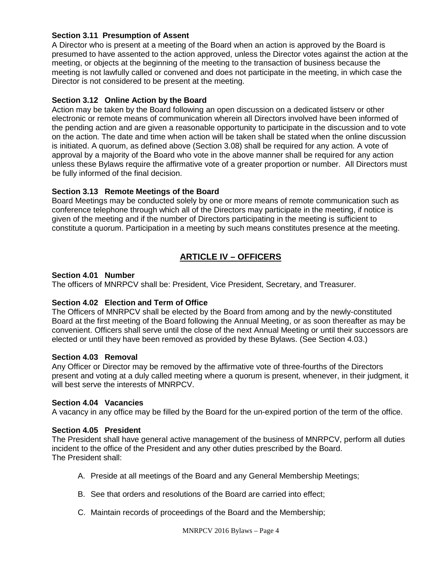# **Section 3.11 Presumption of Assent**

A Director who is present at a meeting of the Board when an action is approved by the Board is presumed to have assented to the action approved, unless the Director votes against the action at the meeting, or objects at the beginning of the meeting to the transaction of business because the meeting is not lawfully called or convened and does not participate in the meeting, in which case the Director is not considered to be present at the meeting.

## **Section 3.12 Online Action by the Board**

Action may be taken by the Board following an open discussion on a dedicated listserv or other electronic or remote means of communication wherein all Directors involved have been informed of the pending action and are given a reasonable opportunity to participate in the discussion and to vote on the action. The date and time when action will be taken shall be stated when the online discussion is initiated. A quorum, as defined above (Section 3.08) shall be required for any action. A vote of approval by a majority of the Board who vote in the above manner shall be required for any action unless these Bylaws require the affirmative vote of a greater proportion or number. All Directors must be fully informed of the final decision.

#### **Section 3.13 Remote Meetings of the Board**

Board Meetings may be conducted solely by one or more means of remote communication such as conference telephone through which all of the Directors may participate in the meeting, if notice is given of the meeting and if the number of Directors participating in the meeting is sufficient to constitute a quorum. Participation in a meeting by such means constitutes presence at the meeting.

# **ARTICLE IV – OFFICERS**

#### **Section 4.01 Number**

The officers of MNRPCV shall be: President, Vice President, Secretary, and Treasurer.

#### **Section 4.02 Election and Term of Office**

The Officers of MNRPCV shall be elected by the Board from among and by the newly-constituted Board at the first meeting of the Board following the Annual Meeting, or as soon thereafter as may be convenient. Officers shall serve until the close of the next Annual Meeting or until their successors are elected or until they have been removed as provided by these Bylaws. (See Section 4.03.)

#### **Section 4.03 Removal**

Any Officer or Director may be removed by the affirmative vote of three-fourths of the Directors present and voting at a duly called meeting where a quorum is present, whenever, in their judgment, it will best serve the interests of MNRPCV.

#### **Section 4.04 Vacancies**

A vacancy in any office may be filled by the Board for the un-expired portion of the term of the office.

#### **Section 4.05 President**

The President shall have general active management of the business of MNRPCV, perform all duties incident to the office of the President and any other duties prescribed by the Board. The President shall:

- A. Preside at all meetings of the Board and any General Membership Meetings;
- B. See that orders and resolutions of the Board are carried into effect;
- C. Maintain records of proceedings of the Board and the Membership;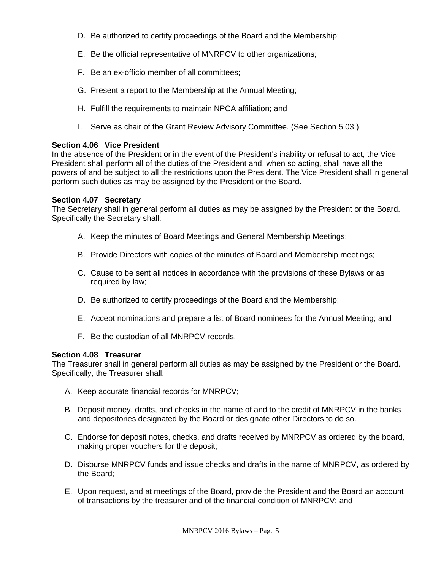- D. Be authorized to certify proceedings of the Board and the Membership;
- E. Be the official representative of MNRPCV to other organizations;
- F. Be an ex-officio member of all committees;
- G. Present a report to the Membership at the Annual Meeting;
- H. Fulfill the requirements to maintain NPCA affiliation; and
- I. Serve as chair of the Grant Review Advisory Committee. (See Section 5.03.)

#### **Section 4.06 Vice President**

In the absence of the President or in the event of the President's inability or refusal to act, the Vice President shall perform all of the duties of the President and, when so acting, shall have all the powers of and be subject to all the restrictions upon the President. The Vice President shall in general perform such duties as may be assigned by the President or the Board.

#### **Section 4.07 Secretary**

The Secretary shall in general perform all duties as may be assigned by the President or the Board. Specifically the Secretary shall:

- A. Keep the minutes of Board Meetings and General Membership Meetings;
- B. Provide Directors with copies of the minutes of Board and Membership meetings;
- C. Cause to be sent all notices in accordance with the provisions of these Bylaws or as required by law;
- D. Be authorized to certify proceedings of the Board and the Membership;
- E. Accept nominations and prepare a list of Board nominees for the Annual Meeting; and
- F. Be the custodian of all MNRPCV records.

#### **Section 4.08 Treasurer**

The Treasurer shall in general perform all duties as may be assigned by the President or the Board. Specifically, the Treasurer shall:

- A. Keep accurate financial records for MNRPCV;
- B. Deposit money, drafts, and checks in the name of and to the credit of MNRPCV in the banks and depositories designated by the Board or designate other Directors to do so.
- C. Endorse for deposit notes, checks, and drafts received by MNRPCV as ordered by the board, making proper vouchers for the deposit;
- D. Disburse MNRPCV funds and issue checks and drafts in the name of MNRPCV, as ordered by the Board;
- E. Upon request, and at meetings of the Board, provide the President and the Board an account of transactions by the treasurer and of the financial condition of MNRPCV; and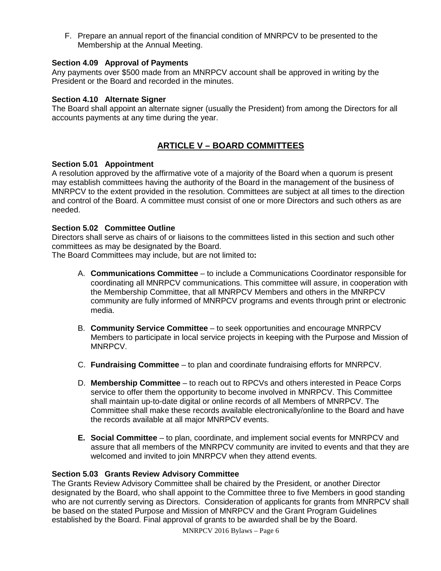F. Prepare an annual report of the financial condition of MNRPCV to be presented to the Membership at the Annual Meeting.

## **Section 4.09 Approval of Payments**

Any payments over \$500 made from an MNRPCV account shall be approved in writing by the President or the Board and recorded in the minutes.

#### **Section 4.10 Alternate Signer**

The Board shall appoint an alternate signer (usually the President) from among the Directors for all accounts payments at any time during the year.

# **ARTICLE V – BOARD COMMITTEES**

#### **Section 5.01 Appointment**

A resolution approved by the affirmative vote of a majority of the Board when a quorum is present may establish committees having the authority of the Board in the management of the business of MNRPCV to the extent provided in the resolution. Committees are subject at all times to the direction and control of the Board. A committee must consist of one or more Directors and such others as are needed.

#### **Section 5.02 Committee Outline**

Directors shall serve as chairs of or liaisons to the committees listed in this section and such other committees as may be designated by the Board.

The Board Committees may include, but are not limited to**:** 

- A. **Communications Committee** to include a Communications Coordinator responsible for coordinating all MNRPCV communications. This committee will assure, in cooperation with the Membership Committee, that all MNRPCV Members and others in the MNRPCV community are fully informed of MNRPCV programs and events through print or electronic media.
- B. **Community Service Committee** to seek opportunities and encourage MNRPCV Members to participate in local service projects in keeping with the Purpose and Mission of MNRPCV.
- C. **Fundraising Committee** to plan and coordinate fundraising efforts for MNRPCV.
- D. **Membership Committee** to reach out to RPCVs and others interested in Peace Corps service to offer them the opportunity to become involved in MNRPCV. This Committee shall maintain up-to-date digital or online records of all Members of MNRPCV. The Committee shall make these records available electronically/online to the Board and have the records available at all major MNRPCV events.
- **E. Social Committee** to plan, coordinate, and implement social events for MNRPCV and assure that all members of the MNRPCV community are invited to events and that they are welcomed and invited to join MNRPCV when they attend events.

#### **Section 5.03 Grants Review Advisory Committee**

The Grants Review Advisory Committee shall be chaired by the President, or another Director designated by the Board, who shall appoint to the Committee three to five Members in good standing who are not currently serving as Directors. Consideration of applicants for grants from MNRPCV shall be based on the stated Purpose and Mission of MNRPCV and the Grant Program Guidelines established by the Board. Final approval of grants to be awarded shall be by the Board.

MNRPCV 2016 Bylaws – Page 6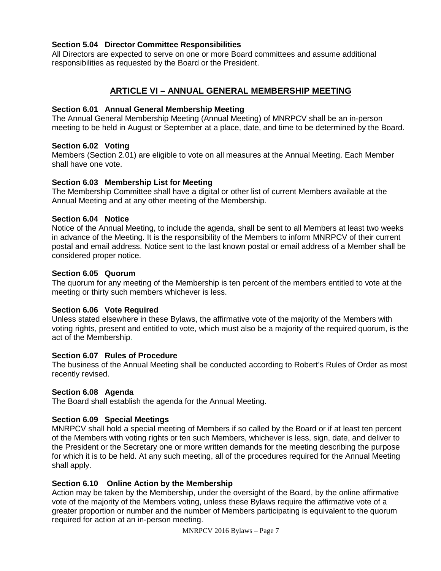#### **Section 5.04 Director Committee Responsibilities**

All Directors are expected to serve on one or more Board committees and assume additional responsibilities as requested by the Board or the President.

# **ARTICLE VI – ANNUAL GENERAL MEMBERSHIP MEETING**

#### **Section 6.01 Annual General Membership Meeting**

The Annual General Membership Meeting (Annual Meeting) of MNRPCV shall be an in-person meeting to be held in August or September at a place, date, and time to be determined by the Board.

#### **Section 6.02 Voting**

Members (Section 2.01) are eligible to vote on all measures at the Annual Meeting. Each Member shall have one vote.

#### **Section 6.03 Membership List for Meeting**

The Membership Committee shall have a digital or other list of current Members available at the Annual Meeting and at any other meeting of the Membership.

#### **Section 6.04 Notice**

Notice of the Annual Meeting, to include the agenda, shall be sent to all Members at least two weeks in advance of the Meeting. It is the responsibility of the Members to inform MNRPCV of their current postal and email address. Notice sent to the last known postal or email address of a Member shall be considered proper notice.

#### **Section 6.05 Quorum**

The quorum for any meeting of the Membership is ten percent of the members entitled to vote at the meeting or thirty such members whichever is less.

#### **Section 6.06 Vote Required**

Unless stated elsewhere in these Bylaws, the affirmative vote of the majority of the Members with voting rights, present and entitled to vote, which must also be a majority of the required quorum, is the act of the Membership.

#### **Section 6.07 Rules of Procedure**

The business of the Annual Meeting shall be conducted according to Robert's Rules of Order as most recently revised.

#### **Section 6.08 Agenda**

The Board shall establish the agenda for the Annual Meeting.

#### **Section 6.09 Special Meetings**

MNRPCV shall hold a special meeting of Members if so called by the Board or if at least ten percent of the Members with voting rights or ten such Members, whichever is less, sign, date, and deliver to the President or the Secretary one or more written demands for the meeting describing the purpose for which it is to be held. At any such meeting, all of the procedures required for the Annual Meeting shall apply.

#### **Section 6.10 Online Action by the Membership**

Action may be taken by the Membership, under the oversight of the Board, by the online affirmative vote of the majority of the Members voting, unless these Bylaws require the affirmative vote of a greater proportion or number and the number of Members participating is equivalent to the quorum required for action at an in-person meeting.

MNRPCV 2016 Bylaws – Page 7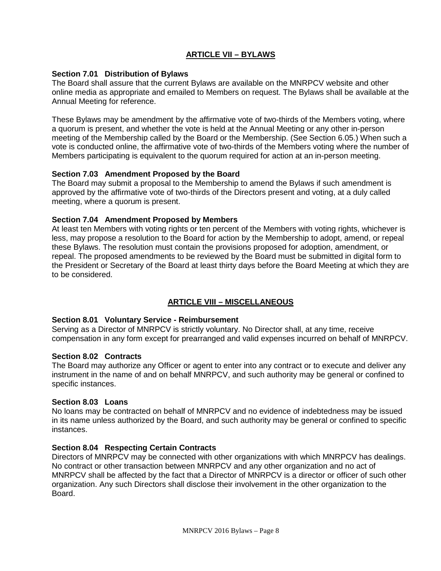# **ARTICLE VII – BYLAWS**

#### **Section 7.01 Distribution of Bylaws**

The Board shall assure that the current Bylaws are available on the MNRPCV website and other online media as appropriate and emailed to Members on request. The Bylaws shall be available at the Annual Meeting for reference.

These Bylaws may be amendment by the affirmative vote of two-thirds of the Members voting, where a quorum is present, and whether the vote is held at the Annual Meeting or any other in-person meeting of the Membership called by the Board or the Membership. (See Section 6.05.) When such a vote is conducted online, the affirmative vote of two-thirds of the Members voting where the number of Members participating is equivalent to the quorum required for action at an in-person meeting.

#### **Section 7.03 Amendment Proposed by the Board**

The Board may submit a proposal to the Membership to amend the Bylaws if such amendment is approved by the affirmative vote of two-thirds of the Directors present and voting, at a duly called meeting, where a quorum is present.

#### **Section 7.04 Amendment Proposed by Members**

At least ten Members with voting rights or ten percent of the Members with voting rights, whichever is less, may propose a resolution to the Board for action by the Membership to adopt, amend, or repeal these Bylaws. The resolution must contain the provisions proposed for adoption, amendment, or repeal. The proposed amendments to be reviewed by the Board must be submitted in digital form to the President or Secretary of the Board at least thirty days before the Board Meeting at which they are to be considered.

# **ARTICLE VIII – MISCELLANEOUS**

#### **Section 8.01 Voluntary Service - Reimbursement**

Serving as a Director of MNRPCV is strictly voluntary. No Director shall, at any time, receive compensation in any form except for prearranged and valid expenses incurred on behalf of MNRPCV.

#### **Section 8.02 Contracts**

The Board may authorize any Officer or agent to enter into any contract or to execute and deliver any instrument in the name of and on behalf MNRPCV, and such authority may be general or confined to specific instances.

#### **Section 8.03 Loans**

No loans may be contracted on behalf of MNRPCV and no evidence of indebtedness may be issued in its name unless authorized by the Board, and such authority may be general or confined to specific instances.

#### **Section 8.04 Respecting Certain Contracts**

Directors of MNRPCV may be connected with other organizations with which MNRPCV has dealings. No contract or other transaction between MNRPCV and any other organization and no act of MNRPCV shall be affected by the fact that a Director of MNRPCV is a director or officer of such other organization. Any such Directors shall disclose their involvement in the other organization to the Board.